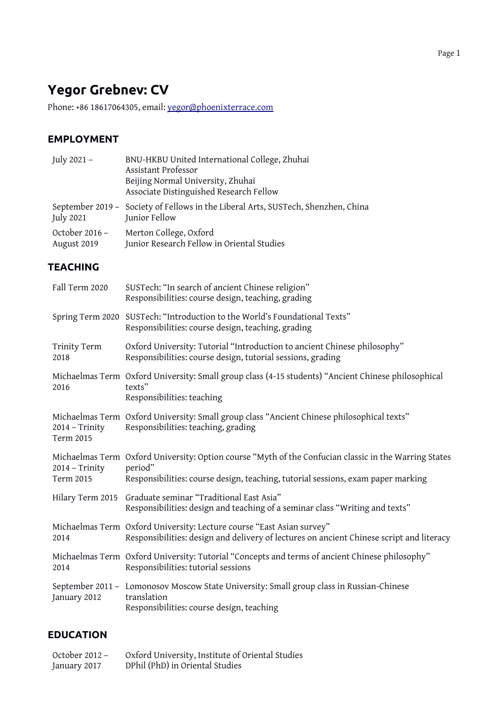# **Yegor Grebnev: CV**

Phone: +86 18617064305, email: [yegor@phoenixterrace.com](mailto:yegor@phoenixterrace.com)

### **EMPLOYMENT**

| July 2021 -                   | BNU-HKBU United International College, Zhuhai<br>Assistant Professor<br>Beijing Normal University, Zhuhai<br>Associate Distinguished Research Fellow                                                 |
|-------------------------------|------------------------------------------------------------------------------------------------------------------------------------------------------------------------------------------------------|
| <b>July 2021</b>              | September 2019 - Society of Fellows in the Liberal Arts, SUSTech, Shenzhen, China<br>Junior Fellow                                                                                                   |
| October 2016 -<br>August 2019 | Merton College, Oxford<br>Junior Research Fellow in Oriental Studies                                                                                                                                 |
| <b>TEACHING</b>               |                                                                                                                                                                                                      |
| Fall Term 2020                | SUSTech: "In search of ancient Chinese religion"<br>Responsibilities: course design, teaching, grading                                                                                               |
|                               | Spring Term 2020 SUSTech: "Introduction to the World's Foundational Texts"<br>Responsibilities: course design, teaching, grading                                                                     |
| Trinity Term<br>2018          | Oxford University: Tutorial "Introduction to ancient Chinese philosophy"<br>Responsibilities: course design, tutorial sessions, grading                                                              |
| 2016                          | Michaelmas Term Oxford University: Small group class (4-15 students) "Ancient Chinese philosophical<br>texts"<br>Responsibilities: teaching                                                          |
| 2014 - Trinity<br>Term 2015   | Michaelmas Term Oxford University: Small group class "Ancient Chinese philosophical texts"<br>Responsibilities: teaching, grading                                                                    |
| 2014 - Trinity<br>Term 2015   | Michaelmas Term Oxford University: Option course "Myth of the Confucian classic in the Warring States<br>period"<br>Responsibilities: course design, teaching, tutorial sessions, exam paper marking |
|                               | Hilary Term 2015 Graduate seminar "Traditional East Asia"<br>Responsibilities: design and teaching of a seminar class "Writing and texts"                                                            |
| 2014                          | Michaelmas Term Oxford University: Lecture course "East Asian survey"<br>Responsibilities: design and delivery of lectures on ancient Chinese script and literacy                                    |
| 2014                          | Michaelmas Term Oxford University: Tutorial "Concepts and terms of ancient Chinese philosophy"<br>Responsibilities: tutorial sessions                                                                |
| January 2012                  | September 2011 - Lomonosov Moscow State University: Small group class in Russian-Chinese<br>translation<br>Responsibilities: course design, teaching                                                 |

## **EDUCATION**

| October 2012 - | Oxford University, Institute of Oriental Studies |
|----------------|--------------------------------------------------|
| January 2017   | DPhil (PhD) in Oriental Studies                  |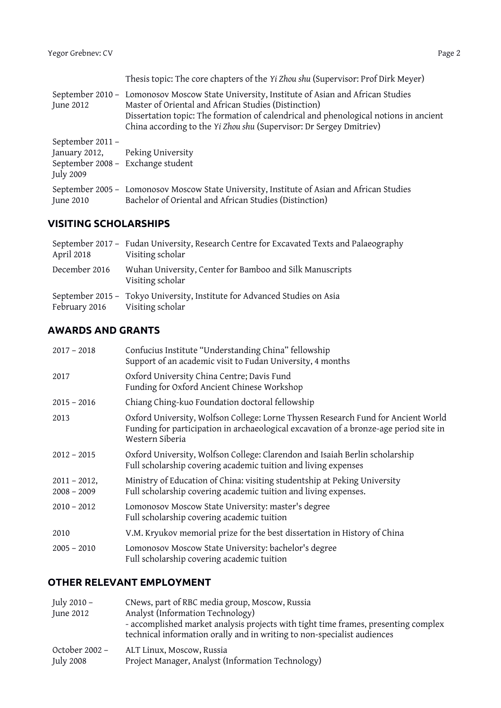|                               | Thesis topic: The core chapters of the Yi Zhou shu (Supervisor: Prof Dirk Meyer)                                                                                                                                                                                                                                  |
|-------------------------------|-------------------------------------------------------------------------------------------------------------------------------------------------------------------------------------------------------------------------------------------------------------------------------------------------------------------|
| June 2012                     | September 2010 - Lomonosov Moscow State University, Institute of Asian and African Studies<br>Master of Oriental and African Studies (Distinction)<br>Dissertation topic: The formation of calendrical and phenological notions in ancient<br>China according to the Yi Zhou shu (Supervisor: Dr Sergey Dmitriev) |
| September 2011 -<br>July 2009 | January 2012, Peking University<br>September 2008 - Exchange student                                                                                                                                                                                                                                              |
| June 2010                     | September 2005 - Lomonosov Moscow State University, Institute of Asian and African Studies<br>Bachelor of Oriental and African Studies (Distinction)                                                                                                                                                              |

## **VISITING SCHOLARSHIPS**

| April 2018                     | September 2017 - Fudan University, Research Centre for Excavated Texts and Palaeography<br>Visiting scholar |
|--------------------------------|-------------------------------------------------------------------------------------------------------------|
| December 2016                  | Wuhan University, Center for Bamboo and Silk Manuscripts<br>Visiting scholar                                |
| February 2016 Visiting scholar | September 2015 - Tokyo University, Institute for Advanced Studies on Asia                                   |

## **AWARDS AND GRANTS**

| $2017 - 2018$                    | Confucius Institute "Understanding China" fellowship<br>Support of an academic visit to Fudan University, 4 months                                                                            |
|----------------------------------|-----------------------------------------------------------------------------------------------------------------------------------------------------------------------------------------------|
| 2017                             | Oxford University China Centre; Davis Fund<br>Funding for Oxford Ancient Chinese Workshop                                                                                                     |
| $2015 - 2016$                    | Chiang Ching-kuo Foundation doctoral fellowship                                                                                                                                               |
| 2013                             | Oxford University, Wolfson College: Lorne Thyssen Research Fund for Ancient World<br>Funding for participation in archaeological excavation of a bronze-age period site in<br>Western Siberia |
| $2012 - 2015$                    | Oxford University, Wolfson College: Clarendon and Isaiah Berlin scholarship<br>Full scholarship covering academic tuition and living expenses                                                 |
| $2011 - 2012$ ,<br>$2008 - 2009$ | Ministry of Education of China: visiting studentship at Peking University<br>Full scholarship covering academic tuition and living expenses.                                                  |
| $2010 - 2012$                    | Lomonosov Moscow State University: master's degree<br>Full scholarship covering academic tuition                                                                                              |
| 2010                             | V.M. Kryukov memorial prize for the best dissertation in History of China                                                                                                                     |
| $2005 - 2010$                    | Lomonosov Moscow State University: bachelor's degree<br>Full scholarship covering academic tuition                                                                                            |

#### **OTHER RELEVANT EMPLOYMENT**

| July 2010 –<br>June 2012 | CNews, part of RBC media group, Moscow, Russia<br>Analyst (Information Technology)<br>- accomplished market analysis projects with tight time frames, presenting complex<br>technical information orally and in writing to non-specialist audiences |
|--------------------------|-----------------------------------------------------------------------------------------------------------------------------------------------------------------------------------------------------------------------------------------------------|
| October 2002 -           | ALT Linux, Moscow, Russia                                                                                                                                                                                                                           |
| July 2008                | Project Manager, Analyst (Information Technology)                                                                                                                                                                                                   |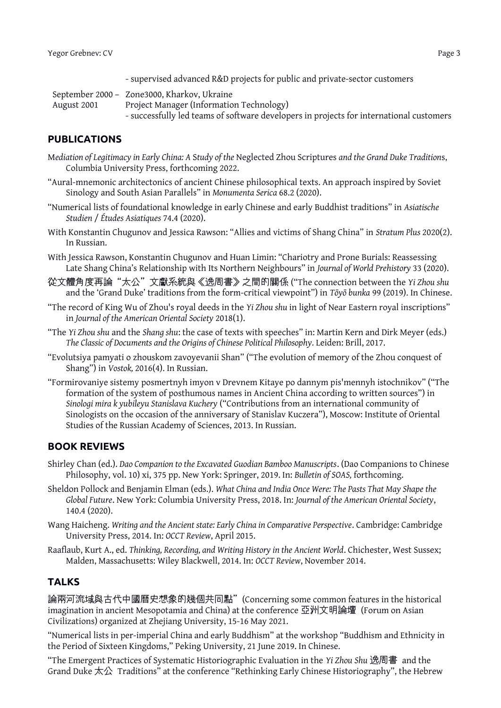- supervised advanced R&D projects for public and private-sector customers

|             | September 2000 - Zone3000, Kharkov, Ukraine                                             |
|-------------|-----------------------------------------------------------------------------------------|
| August 2001 | Project Manager (Information Technology)                                                |
|             | - successfully led teams of software developers in projects for international customers |

#### **PUBLICATIONS**

- M*ediation of Legitimacy in Early China: A* S*tudy of the* Neglected Zhou Scriptures *and the Grand Duke Tradition*s, Columbia University Press, forthcoming 2022.
- "Aural-mnemonic architectonics of ancient Chinese philosophical texts. An approach inspired by Soviet Sinology and South Asian Parallels" in *Monumenta Serica* 68.2 (2020).
- "Numerical lists of foundational knowledge in early Chinese and early Buddhist traditions" in *Asiatische Studien* / *Études Asiatiques* 74.4 (2020).
- With Konstantin Chugunov and Jessica Rawson: "Allies and victims of Shang China" in *Stratum Plus* 2020(2). In Russian.
- With Jessica Rawson, Konstantin Chugunov and Huan Limin: "Chariotry and Prone Burials: Reassessing Late Shang China's Relationship with Its Northern Neighbours" in *Journal of World Prehistory* 33 (2020).
- 從文體角度再論"太公"文獻系統與《逸周書》之間的關係 ("The connection between the *Yi Zhou shu*  and the 'Grand Duke' traditions from the form-critical viewpoint") in *Tōyō bunka* 99 (2019). In Chinese.
- "The record of King Wu of Zhou's royal deeds in the *Yi Zhou shu* in light of Near Eastern royal inscriptions" in *Journal of the American Oriental Society* 2018(1).
- "The *Yi Zhou shu* and the *Shang shu*: the case of texts with speeches" in: Martin Kern and Dirk Meyer (eds.) *The Classic of Documents and the Origins of Chinese Political Philosophy.* Leiden: Brill, 2017.
- "Evolutsiya pamyati o zhouskom zavoyevanii Shan" ("The evolution of memory of the Zhou conquest of Shang") in *Vostok,* 2016(4). In Russian.
- "Formirovaniye sistemy posmertnyh imyon v Drevnem Kitaye po dannym pis'mennyh istochnikov" ("The formation of the system of posthumous names in Ancient China according to written sources") in *Sinologi mira k yubileyu Stanislava Kuchery* ("Contributions from an international community of Sinologists on the occasion of the anniversary of Stanislav Kuczera"), Moscow: Institute of Oriental Studies of the Russian Academy of Sciences, 2013. In Russian.

#### **BOOK REVIEWS**

- Shirley Chan (ed.). *Dao Companion to the Excavated Guodian Bamboo Manuscripts*. (Dao Companions to Chinese Philosophy, vol. 10) xi, 375 pp. New York: Springer, 2019. In: *Bulletin of SOAS,* forthcoming.
- Sheldon Pollock and Benjamin Elman (eds.). *What China and India Once Were: The Pasts That May Shape the Global Future*. New York: Columbia University Press, 2018. In: *Journal of the American Oriental Society*, 140.4 (2020).
- Wang Haicheng. *Writing and the Ancient state: Early China in Comparative Perspective*. Cambridge: Cambridge University Press, 2014. In: *OCCT Review*, April 2015.
- Raaflaub, Kurt A., ed. *Thinking, Recording, and Writing History in the Ancient World*. Chichester, West Sussex; Malden, Massachusetts: Wiley Blackwell, 2014. In: *OCCT Review*, November 2014.

#### **TALKS**

論兩河流域與古代中國曆史想象的幾個共同點" (Concerning some common features in the historical imagination in ancient Mesopotamia and China) at the conference 亞洲文明論壇 (Forum on Asian Civilizations) organized at Zhejiang University, 15-16 May 2021.

"Numerical lists in per-imperial China and early Buddhism" at the workshop "Buddhism and Ethnicity in the Period of Sixteen Kingdoms," Peking University, 21 June 2019. In Chinese.

"The Emergent Practices of Systematic Historiographic Evaluation in the *Yi Zhou Shu* 逸周書 and the Grand Duke 太公 Traditions" at the conference "Rethinking Early Chinese Historiography", the Hebrew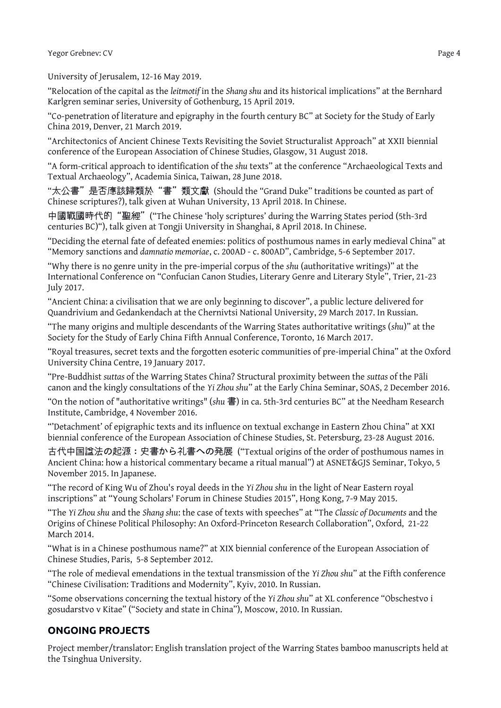University of Jerusalem, 12-16 May 2019.

"Relocation of the capital as the *leitmotif* in the *Shang shu* and its historical implications" at the Bernhard Karlgren seminar series, University of Gothenburg, 15 April 2019.

"Co-penetration of literature and epigraphy in the fourth century BC" at Society for the Study of Early China 2019, Denver, 21 March 2019.

"Architectonics of Ancient Chinese Texts Revisiting the Soviet Structuralist Approach" at XXII biennial conference of the European Association of Chinese Studies, Glasgow, 31 August 2018.

"A form-critical approach to identification of the *shu* texts" at the conference "Archaeological Texts and Textual Archaeology", Academia Sinica, Taiwan, 28 June 2018.

"太公書"是否應該歸類於"書"類文獻 (Should the "Grand Duke" traditions be counted as part of Chinese scriptures?), talk given at Wuhan University, 13 April 2018. In Chinese.

中國戰國時代的"聖經"("The Chinese 'holy scriptures' during the Warring States period (5th-3rd centuries BC)"), talk given at Tongji University in Shanghai, 8 April 2018. In Chinese.

"Deciding the eternal fate of defeated enemies: politics of posthumous names in early medieval China" at "Memory sanctions and *damnatio memoriae*, c. 200AD - c. 800AD", Cambridge, 5-6 September 2017.

"Why there is no genre unity in the pre-imperial corpus of the *shu* (authoritative writings)" at the International Conference on "Confucian Canon Studies, Literary Genre and Literary Style", Trier, 21-23 July 2017.

"Ancient China: a civilisation that we are only beginning to discover", a public lecture delivered for Quandrivium and Gedankendach at the Chernivtsi National University, 29 March 2017. In Russian.

"The many origins and multiple descendants of the Warring States authoritative writings (*shu*)" at the Society for the Study of Early China Fifth Annual Conference, Toronto, 16 March 2017.

"Royal treasures, secret texts and the forgotten esoteric communities of pre-imperial China" at the Oxford University China Centre, 19 January 2017.

"Pre-Buddhist *suttas* of the Warring States China? Structural proximity between the *suttas* of the Pāli canon and the kingly consultations of the *Yi Zhou shu*" at the Early China Seminar, SOAS, 2 December 2016.

"On the notion of "authoritative writings" (*shu* 書) in ca. 5th-3rd centuries BC" at the Needham Research Institute, Cambridge, 4 November 2016.

"'Detachment' of epigraphic texts and its influence on textual exchange in Eastern Zhou China" at XXI biennial conference of the European Association of Chinese Studies, St. Petersburg, 23-28 August 2016.

古代中国諡法の起源:史書から礼書への発展 ("Textual origins of the order of posthumous names in Ancient China: how a historical commentary became a ritual manual") at ASNET&GJS Seminar, Tokyo, 5 November 2015. In Japanese.

"The record of King Wu of Zhou's royal deeds in the *Yi Zhou shu* in the light of Near Eastern royal inscriptions" at "Young Scholars' Forum in Chinese Studies 2015", Hong Kong, 7-9 May 2015.

"The *Yi Zhou shu* and the *Shang shu*: the case of texts with speeches" at "The *Classic of Documents* and the Origins of Chinese Political Philosophy: An Oxford-Princeton Research Collaboration", Oxford, 21-22 March 2014.

"What is in a Chinese posthumous name?" at XIX biennial conference of the European Association of Chinese Studies, Paris, 5-8 September 2012.

"The role of medieval emendations in the textual transmission of the *Yi Zhou shu*" at the Fifth conference "Chinese Civilisation: Traditions and Modernity", Kyiv, 2010. In Russian.

"Some observations concerning the textual history of the *Yi Zhou shu*" at XL conference "Obschestvo i gosudarstvo v Kitae" ("Society and state in China"), Moscow, 2010. In Russian.

# **ONGOING PROJECTS**

Project member/translator: English translation project of the Warring States bamboo manuscripts held at the Tsinghua University.